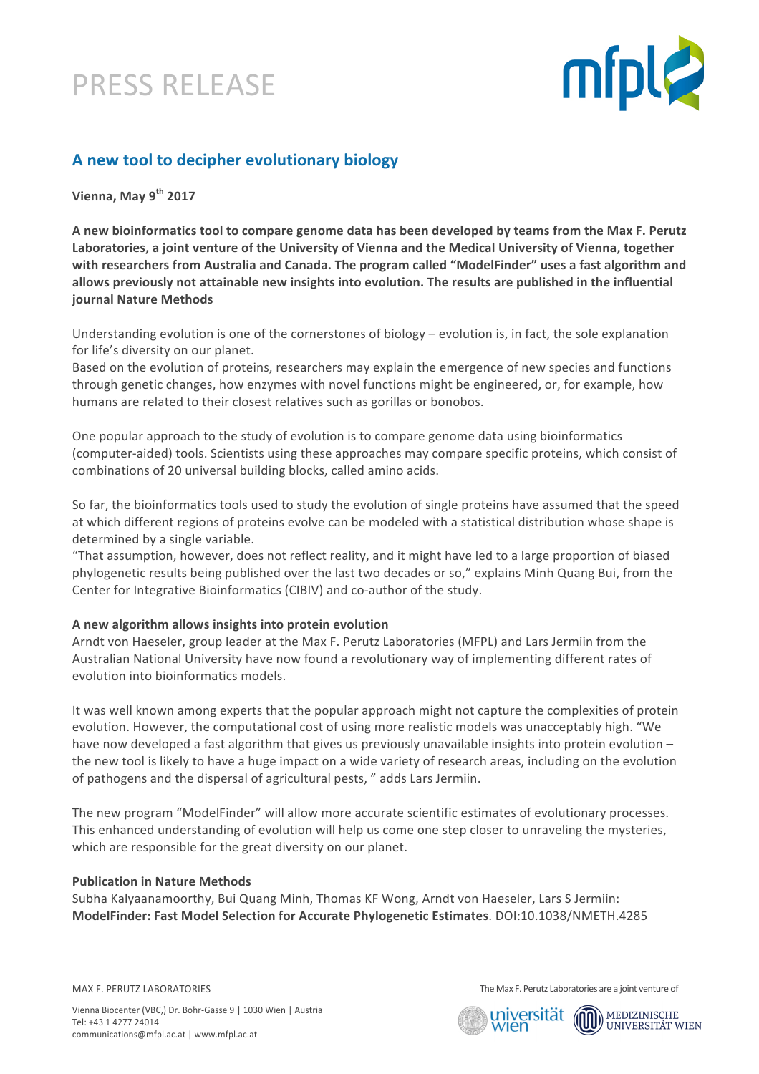# PRESS RELEASE



### **A new tool to decipher evolutionary biology**

**Vienna, May 9th 2017**

A new bioinformatics tool to compare genome data has been developed by teams from the Max F. Perutz Laboratories, a joint venture of the University of Vienna and the Medical University of Vienna, together with researchers from Australia and Canada. The program called "ModelFinder" uses a fast algorithm and allows previously not attainable new insights into evolution. The results are published in the influential **journal Nature Methods**

Understanding evolution is one of the cornerstones of biology – evolution is, in fact, the sole explanation for life's diversity on our planet.

Based on the evolution of proteins, researchers may explain the emergence of new species and functions through genetic changes, how enzymes with novel functions might be engineered, or, for example, how humans are related to their closest relatives such as gorillas or bonobos.

One popular approach to the study of evolution is to compare genome data using bioinformatics (computer-aided) tools. Scientists using these approaches may compare specific proteins, which consist of combinations of 20 universal building blocks, called amino acids.

So far, the bioinformatics tools used to study the evolution of single proteins have assumed that the speed at which different regions of proteins evolve can be modeled with a statistical distribution whose shape is determined by a single variable.

"That assumption, however, does not reflect reality, and it might have led to a large proportion of biased phylogenetic results being published over the last two decades or so," explains Minh Quang Bui, from the Center for Integrative Bioinformatics (CIBIV) and co-author of the study.

#### A new algorithm allows insights into protein evolution

Arndt von Haeseler, group leader at the Max F. Perutz Laboratories (MFPL) and Lars Jermiin from the Australian National University have now found a revolutionary way of implementing different rates of evolution into bioinformatics models.

It was well known among experts that the popular approach might not capture the complexities of protein evolution. However, the computational cost of using more realistic models was unacceptably high. "We have now developed a fast algorithm that gives us previously unavailable insights into protein evolution  $$ the new tool is likely to have a huge impact on a wide variety of research areas, including on the evolution of pathogens and the dispersal of agricultural pests, " adds Lars Jermiin.

The new program "ModelFinder" will allow more accurate scientific estimates of evolutionary processes. This enhanced understanding of evolution will help us come one step closer to unraveling the mysteries, which are responsible for the great diversity on our planet.

#### **Publication in Nature Methods**

Subha Kalyaanamoorthy, Bui Quang Minh, Thomas KF Wong, Arndt von Haeseler, Lars S Jermiin: **ModelFinder: Fast Model Selection for Accurate Phylogenetic Estimates**. DOI:10.1038/NMETH.4285 

MAX F. PERUTZ LABORATORIES

The Max F. Perutz Laboratories are a joint venture of

universität